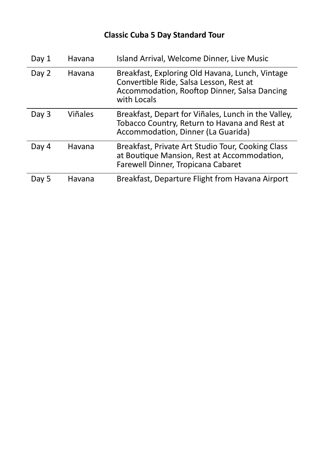| Day 1 | Havana         | Island Arrival, Welcome Dinner, Live Music                                                                                                                |
|-------|----------------|-----------------------------------------------------------------------------------------------------------------------------------------------------------|
| Day 2 | Havana         | Breakfast, Exploring Old Havana, Lunch, Vintage<br>Convertible Ride, Salsa Lesson, Rest at<br>Accommodation, Rooftop Dinner, Salsa Dancing<br>with Locals |
| Day 3 | <b>Viñales</b> | Breakfast, Depart for Viñales, Lunch in the Valley,<br>Tobacco Country, Return to Havana and Rest at<br>Accommodation, Dinner (La Guarida)                |
| Day 4 | Havana         | Breakfast, Private Art Studio Tour, Cooking Class<br>at Boutique Mansion, Rest at Accommodation,<br>Farewell Dinner, Tropicana Cabaret                    |
| Day 5 | Havana         | Breakfast, Departure Flight from Havana Airport                                                                                                           |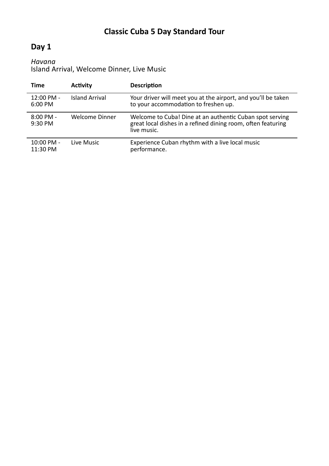#### **Day 1**

#### *Havana*

Island Arrival, Welcome Dinner, Live Music

| Time                             | <b>Activity</b>       | <b>Description</b>                                                                                                                      |
|----------------------------------|-----------------------|-----------------------------------------------------------------------------------------------------------------------------------------|
| 12:00 PM -<br>6:00 PM            | <b>Island Arrival</b> | Your driver will meet you at the airport, and you'll be taken<br>to your accommodation to freshen up.                                   |
| $8:00 \, \text{PM}$ -<br>9:30 PM | <b>Welcome Dinner</b> | Welcome to Cuba! Dine at an authentic Cuban spot serving<br>great local dishes in a refined dining room, often featuring<br>live music. |
| 10:00 PM -<br>11:30 PM           | Live Music            | Experience Cuban rhythm with a live local music<br>performance.                                                                         |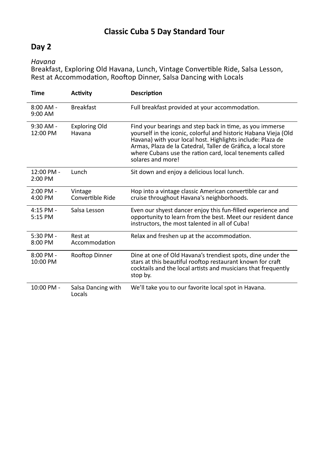#### **Day 2**

*Havana*

Breakfast, Exploring Old Havana, Lunch, Vintage Convertible Ride, Salsa Lesson, Rest at Accommodation, Rooftop Dinner, Salsa Dancing with Locals

| <b>Time</b>             | <b>Activity</b>                | <b>Description</b>                                                                                                                                                                                                                                                                                                                          |
|-------------------------|--------------------------------|---------------------------------------------------------------------------------------------------------------------------------------------------------------------------------------------------------------------------------------------------------------------------------------------------------------------------------------------|
| $8:00$ AM -<br>9:00 AM  | <b>Breakfast</b>               | Full breakfast provided at your accommodation.                                                                                                                                                                                                                                                                                              |
| $9:30$ AM -<br>12:00 PM | <b>Exploring Old</b><br>Havana | Find your bearings and step back in time, as you immerse<br>yourself in the iconic, colorful and historic Habana Vieja (Old<br>Havana) with your local host. Highlights include: Plaza de<br>Armas, Plaza de la Catedral, Taller de Gráfica, a local store<br>where Cubans use the ration card, local tenements called<br>solares and more! |
| 12:00 PM -<br>2:00 PM   | Lunch                          | Sit down and enjoy a delicious local lunch.                                                                                                                                                                                                                                                                                                 |
| $2:00$ PM -<br>4:00 PM  | Vintage<br>Convertible Ride    | Hop into a vintage classic American convertible car and<br>cruise throughout Havana's neighborhoods.                                                                                                                                                                                                                                        |
| $4:15$ PM -<br>5:15 PM  | Salsa Lesson                   | Even our shyest dancer enjoy this fun-filled experience and<br>opportunity to learn from the best. Meet our resident dance<br>instructors, the most talented in all of Cuba!                                                                                                                                                                |
| 5:30 PM -<br>8:00 PM    | Rest at<br>Accommodation       | Relax and freshen up at the accommodation.                                                                                                                                                                                                                                                                                                  |
| $8:00$ PM -<br>10:00 PM | Rooftop Dinner                 | Dine at one of Old Havana's trendiest spots, dine under the<br>stars at this beautiful rooftop restaurant known for craft<br>cocktails and the local artists and musicians that frequently<br>stop by.                                                                                                                                      |
| 10:00 PM -              | Salsa Dancing with<br>Locals   | We'll take you to our favorite local spot in Havana.                                                                                                                                                                                                                                                                                        |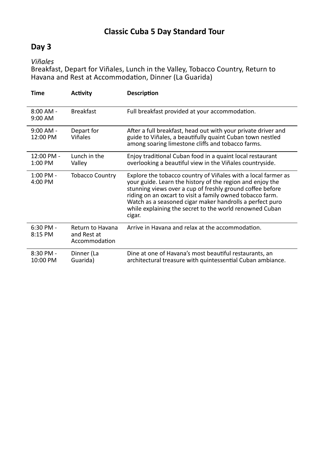#### **Day 3**

*Viñales*

Breakfast, Depart for Viñales, Lunch in the Valley, Tobacco Country, Return to Havana and Rest at Accommodation, Dinner (La Guarida)

| Time                    | <b>Activity</b>                                  | <b>Description</b>                                                                                                                                                                                                                                                                                                                                                                    |
|-------------------------|--------------------------------------------------|---------------------------------------------------------------------------------------------------------------------------------------------------------------------------------------------------------------------------------------------------------------------------------------------------------------------------------------------------------------------------------------|
| $8:00$ AM -<br>9:00 AM  | <b>Breakfast</b>                                 | Full breakfast provided at your accommodation.                                                                                                                                                                                                                                                                                                                                        |
| $9:00$ AM -<br>12:00 PM | Depart for<br>Viñales                            | After a full breakfast, head out with your private driver and<br>guide to Viñales, a beautifully quaint Cuban town nestled<br>among soaring limestone cliffs and tobacco farms.                                                                                                                                                                                                       |
| 12:00 PM -<br>$1:00$ PM | Lunch in the<br>Valley                           | Enjoy traditional Cuban food in a quaint local restaurant<br>overlooking a beautiful view in the Viñales countryside.                                                                                                                                                                                                                                                                 |
| 1:00 PM -<br>4:00 PM    | <b>Tobacco Country</b>                           | Explore the tobacco country of Viñales with a local farmer as<br>your guide. Learn the history of the region and enjoy the<br>stunning views over a cup of freshly ground coffee before<br>riding on an oxcart to visit a family owned tobacco farm.<br>Watch as a seasoned cigar maker handrolls a perfect puro<br>while explaining the secret to the world renowned Cuban<br>cigar. |
| $6:30$ PM -<br>8:15 PM  | Return to Havana<br>and Rest at<br>Accommodation | Arrive in Havana and relax at the accommodation.                                                                                                                                                                                                                                                                                                                                      |
| 8:30 PM -<br>10:00 PM   | Dinner (La<br>Guarida)                           | Dine at one of Havana's most beautiful restaurants, an<br>architectural treasure with quintessential Cuban ambiance.                                                                                                                                                                                                                                                                  |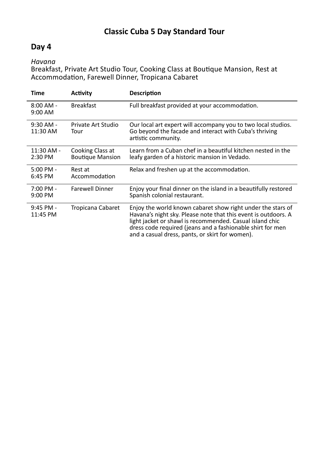#### **Day 4**

*Havana*

Breakfast, Private Art Studio Tour, Cooking Class at Boutique Mansion, Rest at Accommodation, Farewell Dinner, Tropicana Cabaret

| Time                    | <b>Activity</b>                             | <b>Description</b>                                                                                                                                                                                                                                                                                         |
|-------------------------|---------------------------------------------|------------------------------------------------------------------------------------------------------------------------------------------------------------------------------------------------------------------------------------------------------------------------------------------------------------|
| $8:00$ AM -<br>9:00 AM  | <b>Breakfast</b>                            | Full breakfast provided at your accommodation.                                                                                                                                                                                                                                                             |
| $9:30$ AM -<br>11:30 AM | Private Art Studio<br>Tour                  | Our local art expert will accompany you to two local studios.<br>Go beyond the facade and interact with Cuba's thriving<br>artistic community.                                                                                                                                                             |
| 11:30 AM -<br>$2:30$ PM | Cooking Class at<br><b>Boutique Mansion</b> | Learn from a Cuban chef in a beautiful kitchen nested in the<br>leafy garden of a historic mansion in Vedado.                                                                                                                                                                                              |
| $5:00$ PM -<br>6:45 PM  | Rest at<br>Accommodation                    | Relax and freshen up at the accommodation.                                                                                                                                                                                                                                                                 |
| 7:00 PM -<br>9:00 PM    | <b>Farewell Dinner</b>                      | Enjoy your final dinner on the island in a beautifully restored<br>Spanish colonial restaurant.                                                                                                                                                                                                            |
| $9:45$ PM -<br>11:45 PM | Tropicana Cabaret                           | Enjoy the world known cabaret show right under the stars of<br>Havana's night sky. Please note that this event is outdoors. A<br>light jacket or shawl is recommended. Casual island chic<br>dress code required (jeans and a fashionable shirt for men<br>and a casual dress, pants, or skirt for women). |